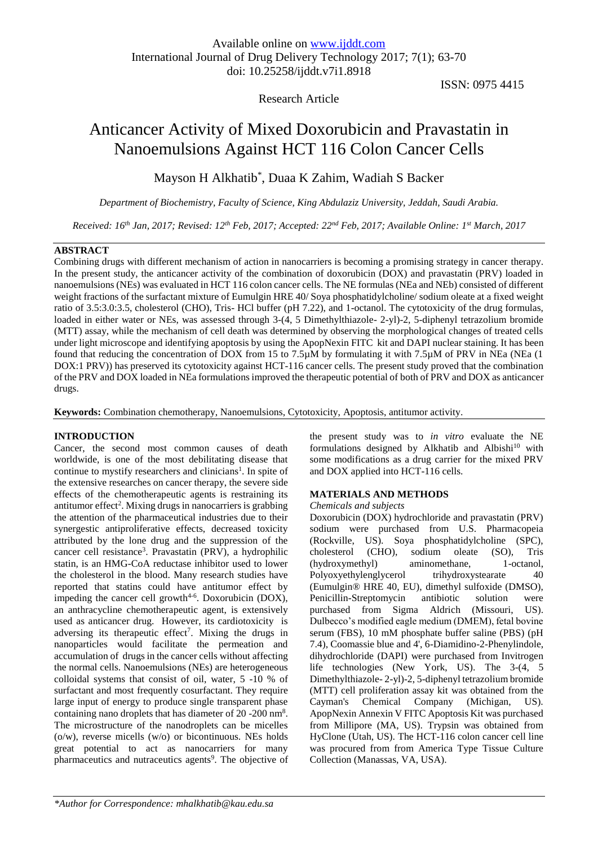## Research Article

ISSN: 0975 4415

# Anticancer Activity of Mixed Doxorubicin and Pravastatin in Nanoemulsions Against HCT 116 Colon Cancer Cells

Mayson H Alkhatib \* , Duaa K Zahim, Wadiah S Backer

*Department of Biochemistry, Faculty of Science, King Abdulaziz University, Jeddah, Saudi Arabia.*

*Received: 16<sup>th</sup> Jan, 2017; Revised: 12<sup>th</sup> Feb, 2017; Accepted: 22<sup>nd</sup> Feb, 2017; Available Online: 1<sup>st</sup> March, 2017* 

## **ABSTRACT**

Combining drugs with different mechanism of action in nanocarriers is becoming a promising strategy in cancer therapy. In the present study, the anticancer activity of the combination of doxorubicin (DOX) and pravastatin (PRV) loaded in nanoemulsions (NEs) was evaluated in HCT 116 colon cancer cells. The NE formulas (NEa and NEb) consisted of different weight fractions of the surfactant mixture of Eumulgin HRE 40/ Soya phosphatidylcholine/ sodium oleate at a fixed weight ratio of 3.5:3.0:3.5, cholesterol (CHO), Tris- HCl buffer (pH 7.22), and 1-octanol. The cytotoxicity of the drug formulas, loaded in either water or NEs, was assessed through 3-(4, 5 Dimethylthiazole- 2-yl)-2, 5-diphenyl tetrazolium bromide (MTT) assay, while the mechanism of cell death was determined by observing the morphological changes of treated cells under light microscope and identifying apoptosis by using the ApopNexin FITC kit and DAPI nuclear staining. It has been found that reducing the concentration of DOX from 15 to 7.5µM by formulating it with 7.5µM of PRV in NEa (NEa (1 DOX:1 PRV)) has preserved its cytotoxicity against HCT-116 cancer cells. The present study proved that the combination of the PRV and DOX loaded in NEa formulations improved the therapeutic potential of both of PRV and DOX as anticancer drugs.

**Keywords:** Combination chemotherapy, Nanoemulsions, Cytotoxicity, Apoptosis, antitumor activity.

## **INTRODUCTION**

Cancer, the second most common causes of death worldwide, is one of the most debilitating disease that continue to mystify researchers and clinicians<sup>1</sup>. In spite of the extensive researches on cancer therapy, the severe side effects of the chemotherapeutic agents is restraining its antitumor effect<sup>2</sup>. Mixing drugs in nanocarriers is grabbing the attention of the pharmaceutical industries due to their synergestic antiproliferative effects, decreased toxicity attributed by the lone drug and the suppression of the cancer cell resistance<sup>3</sup>. Pravastatin (PRV), a hydrophilic statin, is an HMG-CoA reductase inhibitor used to lower the cholesterol in the blood. Many research studies have reported that statins could have antitumor effect by impeding the cancer cell growth<sup> $4-6$ </sup>. Doxorubicin (DOX), an anthracycline chemotherapeutic agent, is extensively used as anticancer drug. However, its cardiotoxicity is adversing its therapeutic effect<sup>7</sup>. Mixing the drugs in nanoparticles would facilitate the permeation and accumulation of drugs in the cancer cells without affecting the normal cells. Nanoemulsions (NEs) are heterogeneous colloidal systems that consist of oil, water, 5 -10 % of surfactant and most frequently cosurfactant. They require large input of energy to produce single transparent phase containing nano droplets that has diameter of 20 -200 nm<sup>8</sup>. The microstructure of the nanodroplets can be micelles (o/w), reverse micells (w/o) or bicontinuous. NEs holds great potential to act as nanocarriers for many pharmaceutics and nutraceutics agents<sup>9</sup>. The objective of the present study was to *in vitro* evaluate the NE formulations designed by Alkhatib and Albishi $10$  with some modifications as a drug carrier for the mixed PRV and DOX applied into HCT-116 cells.

## **MATERIALS AND METHODS**

#### *Chemicals and subjects*

Doxorubicin (DOX) hydrochloride and pravastatin (PRV) sodium were purchased from U.S. Pharmacopeia (Rockville, US). Soya phosphatidylcholine (SPC), cholesterol (CHO), sodium oleate (SO), Tris (hydroxymethyl) aminomethane, 1-octanol, Polyoxyethylenglycerol trihydroxystearate 40 (Eumulgin® HRE 40, EU), dimethyl sulfoxide (DMSO), Penicillin-Streptomycin antibiotic solution were purchased from Sigma Aldrich (Missouri, US). Dulbecco's modified eagle medium (DMEM), fetal bovine serum (FBS), 10 mM phosphate buffer saline (PBS) (pH 7.4), Coomassie blue and 4', 6-Diamidino-2-Phenylindole, dihydrochloride (DAPI) were purchased from Invitrogen life technologies (New York, US). The 3-(4, 5 Dimethylthiazole- 2-yl)-2, 5-diphenyl tetrazolium bromide (MTT) cell proliferation assay kit was obtained from the Cayman's Chemical Company (Michigan, US). ApopNexin Annexin V FITC Apoptosis Kit was purchased from Millipore (MA, US). Trypsin was obtained from HyClone (Utah, US). The HCT-116 colon cancer cell line was procured from from America Type Tissue Culture Collection (Manassas, VA, USA).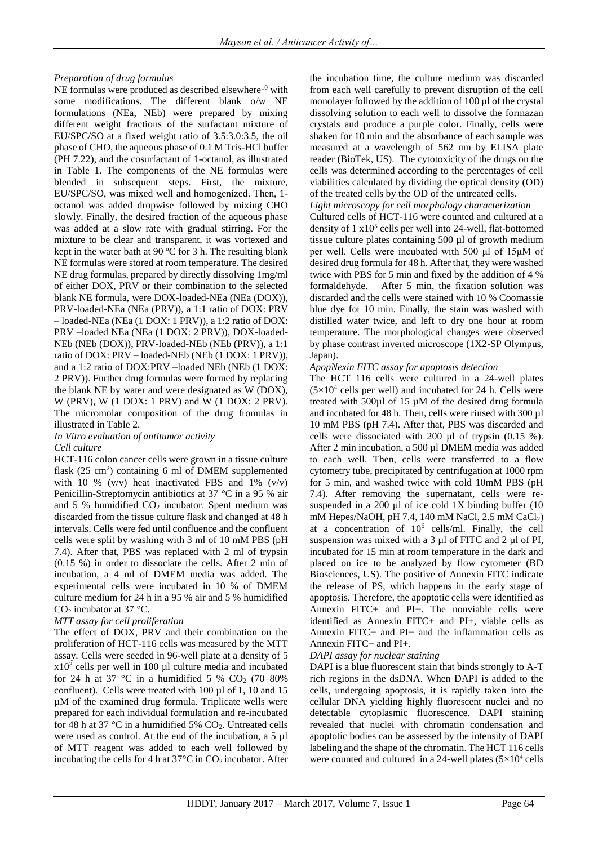## *Preparation of drug formulas*

NE formulas were produced as described elsewhere<sup>10</sup> with some modifications. The different blank o/w NE formulations (NEa, NEb) were prepared by mixing different weight fractions of the surfactant mixture of EU/SPC/SO at a fixed weight ratio of 3.5:3.0:3.5, the oil phase of CHO, the aqueous phase of 0.1 M Tris-HCl buffer (PH 7.22), and the cosurfactant of 1-octanol, as illustrated in Table 1. The components of the NE formulas were blended in subsequent steps. First, the mixture, EU/SPC/SO, was mixed well and homogenized. Then, 1 octanol was added dropwise followed by mixing CHO slowly. Finally, the desired fraction of the aqueous phase was added at a slow rate with gradual stirring. For the mixture to be clear and transparent, it was vortexed and kept in the water bath at 90 ºC for 3 h. The resulting blank NE formulas were stored at room temperature. The desired NE drug formulas, prepared by directly dissolving 1mg/ml of either DOX, PRV or their combination to the selected blank NE formula, were DOX-loaded-NEa (NEa (DOX)), PRV-loaded-NEa (NEa (PRV)), a 1:1 ratio of DOX: PRV – loaded-NEa (NEa (1 DOX: 1 PRV)), a 1:2 ratio of DOX: PRV –loaded NEa (NEa (1 DOX: 2 PRV)), DOX-loaded-NEb (NEb (DOX)), PRV-loaded-NEb (NEb (PRV)), a 1:1 ratio of DOX: PRV – loaded-NEb (NEb (1 DOX: 1 PRV)), and a 1:2 ratio of DOX:PRV –loaded NEb (NEb (1 DOX: 2 PRV)). Further drug formulas were formed by replacing the blank NE by water and were designated as W (DOX), W (PRV), W (1 DOX: 1 PRV) and W (1 DOX: 2 PRV). The micromolar composition of the drug fromulas in illustrated in Table 2.

*In Vitro evaluation of antitumor activity Cell culture*

HCT-116 colon cancer cells were grown in a tissue culture flask (25 cm<sup>2</sup>) containing 6 ml of DMEM supplemented with 10 %  $(v/v)$  heat inactivated FBS and 1%  $(v/v)$ Penicillin-Streptomycin antibiotics at 37 °C in a 95 % air and 5 % humidified  $CO<sub>2</sub>$  incubator. Spent medium was discarded from the tissue culture flask and changed at 48 h intervals. Cells were fed until confluence and the confluent cells were split by washing with 3 ml of 10 mM PBS (pH 7.4). After that, PBS was replaced with 2 ml of trypsin (0.15 %) in order to dissociate the cells. After 2 min of incubation, a 4 ml of DMEM media was added. The experimental cells were incubated in 10 % of DMEM culture medium for 24 h in a 95 % air and 5 % humidified  $CO<sub>2</sub>$  incubator at 37 °C.

## *MTT assay for cell proliferation*

The effect of DOX, PRV and their combination on the proliferation of HCT-116 cells was measured by the MTT assay. Cells were seeded in 96-well plate at a density of 5  $x10<sup>3</sup>$  cells per well in 100 µl culture media and incubated for 24 h at 37 °C in a humidified 5 % CO<sub>2</sub> (70–80%) confluent). Cells were treated with 100 µl of 1, 10 and 15 µM of the examined drug formula. Triplicate wells were prepared for each individual formulation and re-incubated for 48 h at 37 °C in a humidified 5%  $CO<sub>2</sub>$ . Untreated cells were used as control. At the end of the incubation, a 5  $\mu$ l of MTT reagent was added to each well followed by incubating the cells for 4 h at  $37^{\circ}$ C in CO<sub>2</sub> incubator. After

the incubation time, the culture medium was discarded from each well carefully to prevent disruption of the cell monolayer followed by the addition of 100 µl of the crystal dissolving solution to each well to dissolve the formazan crystals and produce a purple color. Finally, cells were shaken for 10 min and the absorbance of each sample was measured at a wavelength of 562 nm by ELISA plate reader (BioTek, US). The cytotoxicity of the drugs on the cells was determined according to the percentages of cell viabilities calculated by dividing the optical density (OD) of the treated cells by the OD of the untreated cells.

#### *Light microscopy for cell morphology characterization*

Cultured cells of HCT-116 were counted and cultured at a density of 1 x10<sup>5</sup> cells per well into 24-well, flat-bottomed tissue culture plates containing 500 µl of growth medium per well. Cells were incubated with 500 μl of 15μM of desired drug formula for 48 h. After that, they were washed twice with PBS for 5 min and fixed by the addition of 4 % formaldehyde. After 5 min, the fixation solution was discarded and the cells were stained with 10 % Coomassie blue dye for 10 min. Finally, the stain was washed with distilled water twice, and left to dry one hour at room temperature. The morphological changes were observed by phase contrast inverted microscope (1X2-SP Olympus, Japan).

## *ApopNexin FITC assay for apoptosis detection*

The HCT 116 cells were cultured in a 24-well plates  $(5\times10^4$  cells per well) and incubated for 24 h. Cells were treated with 500µl of 15 µM of the desired drug formula and incubated for 48 h. Then, cells were rinsed with 300  $\mu$ l 10 mM PBS (pH 7.4). After that, PBS was discarded and cells were dissociated with 200 µl of trypsin (0.15 %). After 2 min incubation, a 500 ul DMEM media was added to each well. Then, cells were transferred to a flow cytometry tube, precipitated by centrifugation at 1000 rpm for 5 min, and washed twice with cold 10mM PBS (pH 7.4). After removing the supernatant, cells were resuspended in a 200  $\mu$ l of ice cold 1X binding buffer (10 mM Hepes/NaOH, pH 7.4, 140 mM NaCl, 2.5 mM CaCl2) at a concentration of  $10^6$  cells/ml. Finally, the cell suspension was mixed with a 3  $\mu$ l of FITC and 2  $\mu$ l of PI, incubated for 15 min at room temperature in the dark and placed on ice to be analyzed by flow cytometer (BD Biosciences, US). The positive of Annexin FITC indicate the release of PS, which happens in the early stage of apoptosis. Therefore, the apoptotic cells were identified as Annexin FITC+ and PI−. The nonviable cells were identified as Annexin FITC+ and PI+, viable cells as Annexin FITC− and PI− and the inflammation cells as Annexin FITC− and PI+.

## *DAPI assay for nuclear staining*

DAPI is a blue fluorescent stain that binds strongly to A-T rich regions in the dsDNA. When DAPI is added to the cells, undergoing apoptosis, it is rapidly taken into the cellular DNA yielding highly fluorescent nuclei and no detectable cytoplasmic fluorescence. DAPI staining revealed that nuclei with chromatin condensation and apoptotic bodies can be assessed by the intensity of DAPI labeling and the shape of the chromatin. The HCT 116 cells were counted and cultured in a 24-well plates  $(5\times10^4 \text{ cells})$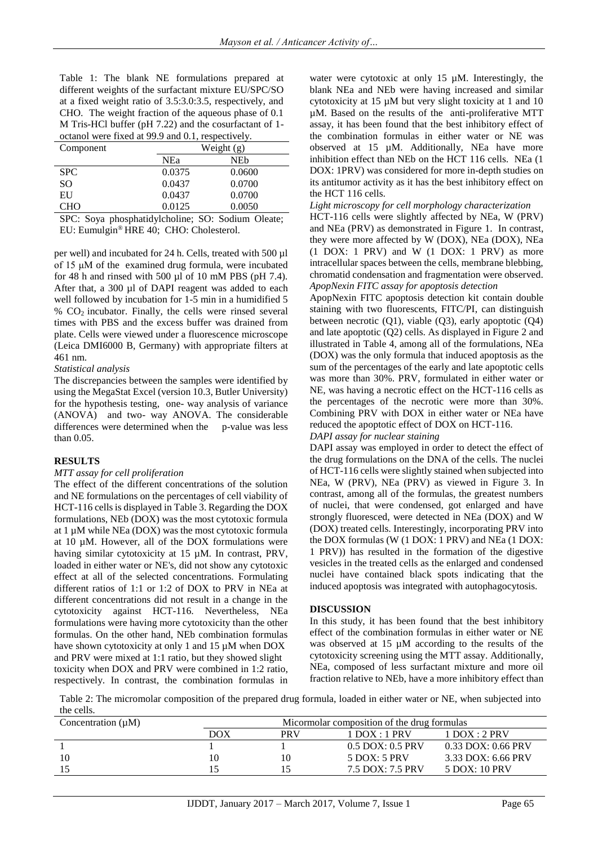Table 1: The blank NE formulations prepared at different weights of the surfactant mixture EU/SPC/SO at a fixed weight ratio of 3.5:3.0:3.5, respectively, and CHO. The weight fraction of the aqueous phase of 0.1 M Tris-HCl buffer (pH 7.22) and the cosurfactant of 1 octanol were fixed at 99.9 and 0.1, respectively.

| Component                                  |            | Weight $(g)$ |  |  |
|--------------------------------------------|------------|--------------|--|--|
|                                            | <b>NEa</b> | NEb          |  |  |
| <b>SPC</b>                                 | 0.0375     | 0.0600       |  |  |
| SO                                         | 0.0437     | 0.0700       |  |  |
| EU                                         | 0.0437     | 0.0700       |  |  |
| <b>CHO</b>                                 | 0.0125     | 0.0050       |  |  |
| <b>Contract Contract Contract Contract</b> | .<br>___   |              |  |  |

SPC: Soya phosphatidylcholine; SO: Sodium Oleate; EU: Eumulgin® HRE 40; CHO: Cholesterol.

per well) and incubated for 24 h. Cells, treated with 500 µl of 15 μM of the examined drug formula, were incubated for 48 h and rinsed with 500  $\mu$ l of 10 mM PBS (pH 7.4). After that, a 300 µl of DAPI reagent was added to each well followed by incubation for 1-5 min in a humidified 5  $% CO<sub>2</sub>$  incubator. Finally, the cells were rinsed several times with PBS and the excess buffer was drained from plate. Cells were viewed under a fluorescence microscope (Leica DMI6000 B, Germany) with appropriate filters at 461 nm.

## *Statistical analysis*

The discrepancies between the samples were identified by using the MegaStat Excel (version 10.3, Butler University) for the hypothesis testing, one- way analysis of variance (ANOVA) and two- way ANOVA. The considerable differences were determined when the p-value was less than 0.05.

## **RESULTS**

#### *MTT assay for cell proliferation*

The effect of the different concentrations of the solution and NE formulations on the percentages of cell viability of HCT-116 cells is displayed in Table 3. Regarding the DOX formulations, NEb (DOX) was the most cytotoxic formula at 1 µM while NEa (DOX) was the most cytotoxic formula at 10 µM. However, all of the DOX formulations were having similar cytotoxicity at 15 µM. In contrast, PRV, loaded in either water or NE's, did not show any cytotoxic effect at all of the selected concentrations. Formulating different ratios of 1:1 or 1:2 of DOX to PRV in NEa at different concentrations did not result in a change in the cytotoxicity against HCT-116. Nevertheless, NEa formulations were having more cytotoxicity than the other formulas. On the other hand, NEb combination formulas have shown cytotoxicity at only 1 and 15  $\mu$ M when DOX and PRV were mixed at 1:1 ratio, but they showed slight toxicity when DOX and PRV were combined in 1:2 ratio, respectively. In contrast, the combination formulas in water were cytotoxic at only 15  $\mu$ M. Interestingly, the blank NEa and NEb were having increased and similar cytotoxicity at 15 µM but very slight toxicity at 1 and 10 µM. Based on the results of the anti-proliferative MTT assay, it has been found that the best inhibitory effect of the combination formulas in either water or NE was observed at 15 µM. Additionally, NEa have more inhibition effect than NEb on the HCT 116 cells. NEa (1 DOX: 1PRV) was considered for more in-depth studies on its antitumor activity as it has the best inhibitory effect on the HCT 116 cells.

#### *Light microscopy for cell morphology characterization*

HCT-116 cells were slightly affected by NEa, W (PRV) and NEa (PRV) as demonstrated in Figure 1. In contrast, they were more affected by W (DOX), NEa (DOX), NEa (1 DOX: 1 PRV) and W (1 DOX: 1 PRV) as more intracellular spaces between the cells, membrane blebbing, chromatid condensation and fragmentation were observed. *ApopNexin FITC assay for apoptosis detection*

ApopNexin FITC apoptosis detection kit contain double staining with two fluorescents, FITC/PI, can distinguish between necrotic (Q1), viable (Q3), early apoptotic (Q4) and late apoptotic (Q2) cells. As displayed in Figure 2 and illustrated in Table 4, among all of the formulations, NEa (DOX) was the only formula that induced apoptosis as the sum of the percentages of the early and late apoptotic cells was more than 30%. PRV, formulated in either water or NE, was having a necrotic effect on the HCT-116 cells as the percentages of the necrotic were more than 30%. Combining PRV with DOX in either water or NEa have reduced the apoptotic effect of DOX on HCT-116.

*DAPI assay for nuclear staining*

DAPI assay was employed in order to detect the effect of the drug formulations on the DNA of the cells. The nuclei of HCT-116 cells were slightly stained when subjected into NEa, W (PRV), NEa (PRV) as viewed in Figure 3. In contrast, among all of the formulas, the greatest numbers of nuclei, that were condensed, got enlarged and have strongly fluoresced, were detected in NEa (DOX) and W (DOX) treated cells. Interestingly, incorporating PRV into the DOX formulas (W (1 DOX: 1 PRV) and NEa (1 DOX: 1 PRV)) has resulted in the formation of the digestive vesicles in the treated cells as the enlarged and condensed nuclei have contained black spots indicating that the induced apoptosis was integrated with autophagocytosis.

#### **DISCUSSION**

In this study, it has been found that the best inhibitory effect of the combination formulas in either water or NE was observed at 15  $\mu$ M according to the results of the cytotoxicity screening using the MTT assay. Additionally, NEa, composed of less surfactant mixture and more oil fraction relative to NEb, have a more inhibitory effect than

Table 2: The micromolar composition of the prepared drug formula, loaded in either water or NE, when subjected into the cells.

| Concentration $(\mu M)$ |     | Micormolar composition of the drug formulas |                      |                      |  |
|-------------------------|-----|---------------------------------------------|----------------------|----------------------|--|
|                         | DOX | <b>PRV</b>                                  | $1$ DOX : 1 PRV      | $1$ DOX : 2 PRV      |  |
|                         |     |                                             | $0.5$ DOX: $0.5$ PRV | $0.33$ DOX: 0.66 PRV |  |
| 10                      | 10  | 10                                          | $5$ DOX: $5$ PRV     | $3.33$ DOX: 6.66 PRV |  |
|                         | 15  |                                             | 7.5 DOX: 7.5 PRV     | 5 DOX: 10 PRV        |  |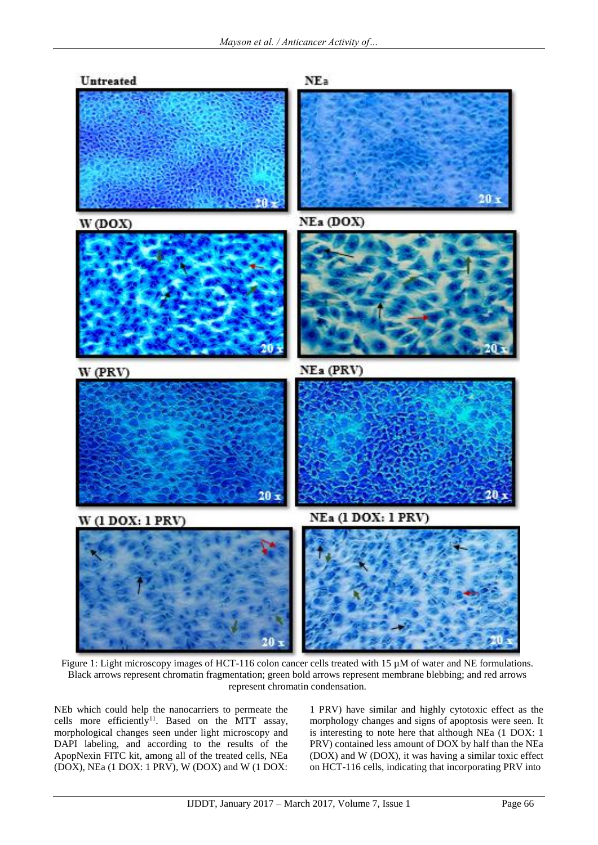

Figure 1: Light microscopy images of HCT-116 colon cancer cells treated with 15 µM of water and NE formulations. Black arrows represent chromatin fragmentation; green bold arrows represent membrane blebbing; and red arrows represent chromatin condensation.

NEb which could help the nanocarriers to permeate the cells more efficiently<sup>11</sup>. Based on the MTT assay, morphological changes seen under light microscopy and DAPI labeling, and according to the results of the ApopNexin FITC kit, among all of the treated cells, NEa (DOX), NEa (1 DOX: 1 PRV), W (DOX) and W (1 DOX:

1 PRV) have similar and highly cytotoxic effect as the morphology changes and signs of apoptosis were seen. It is interesting to note here that although NEa (1 DOX: 1 PRV) contained less amount of DOX by half than the NEa (DOX) and W (DOX), it was having a similar toxic effect on HCT-116 cells, indicating that incorporating PRV into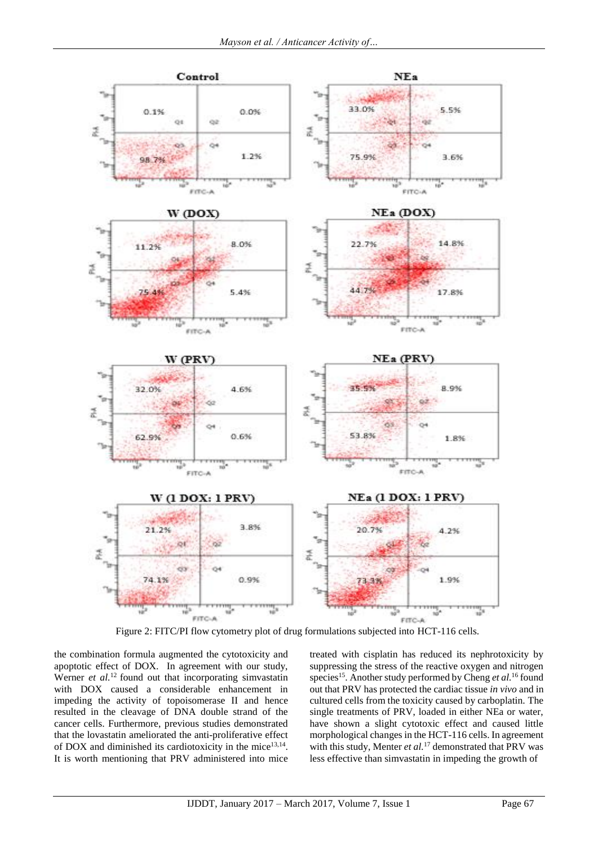

Figure 2: FITC/PI flow cytometry plot of drug formulations subjected into HCT-116 cells.

the combination formula augmented the cytotoxicity and apoptotic effect of DOX. In agreement with our study, Werner *et al.*<sup>12</sup> found out that incorporating simvastatin with DOX caused a considerable enhancement in impeding the activity of topoisomerase II and hence resulted in the cleavage of DNA double strand of the cancer cells. Furthermore, previous studies demonstrated that the lovastatin ameliorated the anti-proliferative effect of DOX and diminished its cardiotoxicity in the mice<sup>13,14</sup>. It is worth mentioning that PRV administered into mice treated with cisplatin has reduced its nephrotoxicity by suppressing the stress of the reactive oxygen and nitrogen species<sup>15</sup>. Another study performed by Cheng *et al.*<sup>16</sup> found out that PRV has protected the cardiac tissue *in vivo* and in cultured cells from the toxicity caused by carboplatin. The single treatments of PRV, loaded in either NEa or water, have shown a slight cytotoxic effect and caused little morphological changes in the HCT-116 cells. In agreement with this study, Menter *et al.*<sup>17</sup> demonstrated that PRV was less effective than simvastatin in impeding the growth of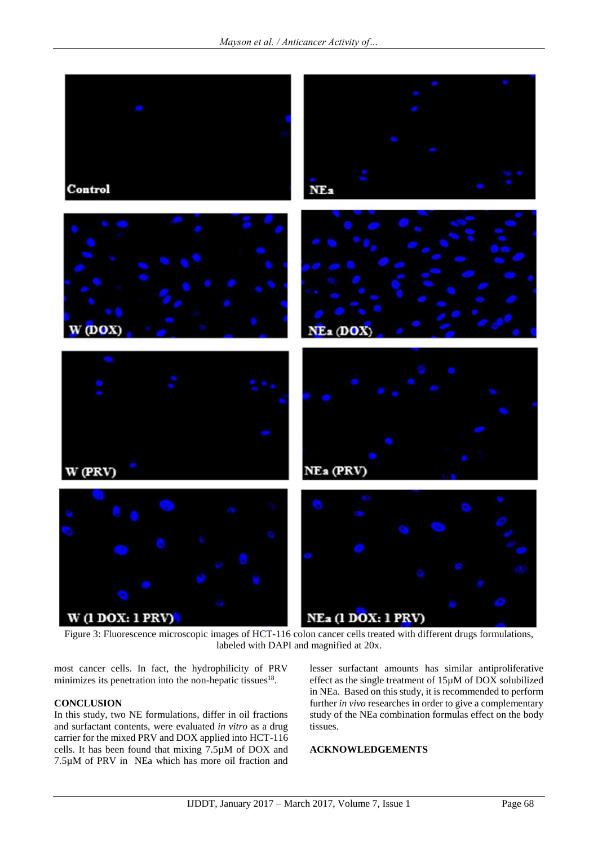

Figure 3: Fluorescence microscopic images of HCT-116 colon cancer cells treated with different drugs formulations, labeled with DAPI and magnified at 20x.

most cancer cells. In fact, the hydrophilicity of PRV minimizes its penetration into the non-hepatic tissues $18$ .

## **CONCLUSION**

In this study, two NE formulations, differ in oil fractions and surfactant contents, were evaluated *in vitro* as a drug carrier for the mixed PRV and DOX applied into HCT-116 cells. It has been found that mixing 7.5µM of DOX and 7.5µM of PRV in NEa which has more oil fraction and

lesser surfactant amounts has similar antiproliferative effect as the single treatment of 15µM of DOX solubilized in NEa. Based on this study, it is recommended to perform further *in vivo* researches in order to give a complementary study of the NEa combination formulas effect on the body tissues.

## **ACKNOWLEDGEMENTS**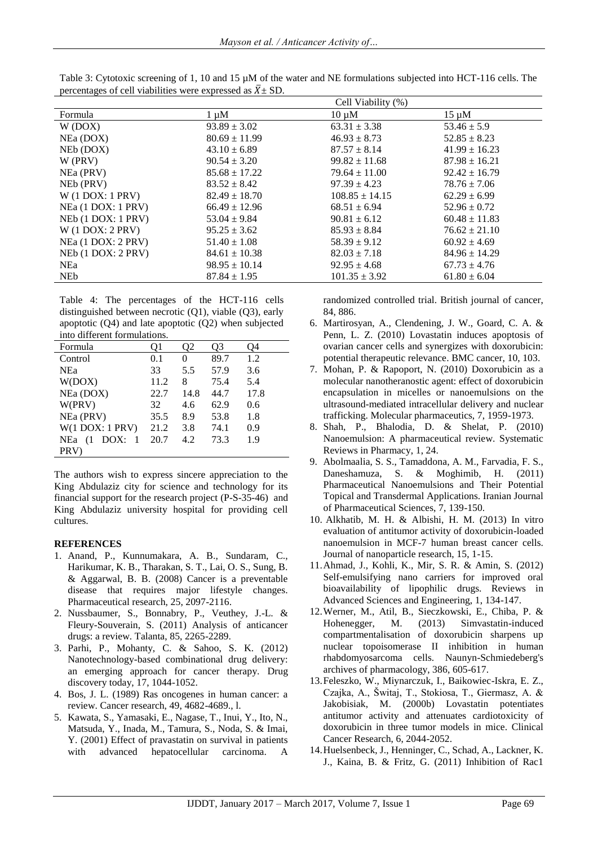|                      |                   | Cell Viability (%) |                   |  |  |  |
|----------------------|-------------------|--------------------|-------------------|--|--|--|
| Formula              | $1 \mu M$         | $10 \mu M$         | $15 \mu M$        |  |  |  |
| W (DOX)              | $93.89 \pm 3.02$  | $63.31 \pm 3.38$   | $53.46 \pm 5.9$   |  |  |  |
| NEa (DOX)            | $80.69 \pm 11.99$ | $46.93 \pm 8.73$   | $52.85 \pm 8.23$  |  |  |  |
| NEb (DOX)            | $43.10 \pm 6.89$  | $87.57 \pm 8.14$   | $41.99 \pm 16.23$ |  |  |  |
| $W$ (PRV)            | $90.54 \pm 3.20$  | $99.82 \pm 11.68$  | $87.98 \pm 16.21$ |  |  |  |
| NEa (PRV)            | $85.68 \pm 17.22$ | $79.64 \pm 11.00$  | $92.42 \pm 16.79$ |  |  |  |
| NEb (PRV)            | $83.52 \pm 8.42$  | $97.39 \pm 4.23$   | $78.76 \pm 7.06$  |  |  |  |
| $W(1$ DOX: 1 PRV)    | $82.49 \pm 18.70$ | $108.85 \pm 14.15$ | $62.29 \pm 6.99$  |  |  |  |
| NEa (1 DOX: 1 PRV)   | $66.49 \pm 12.96$ | $68.51 \pm 6.94$   | $52.96 \pm 0.72$  |  |  |  |
| $NEB$ (1 DOX: 1 PRV) | $53.04 \pm 9.84$  | $90.81 \pm 6.12$   | $60.48 \pm 11.83$ |  |  |  |
| $W(1$ DOX: 2 PRV)    | $95.25 \pm 3.62$  | $85.93 \pm 8.84$   | $76.62 \pm 21.10$ |  |  |  |
| NEa (1 DOX: 2 PRV)   | $51.40 \pm 1.08$  | $58.39 \pm 9.12$   | $60.92 \pm 4.69$  |  |  |  |
| NEb (1 DOX: 2 PRV)   | $84.61 \pm 10.38$ | $82.03 \pm 7.18$   | $84.96 \pm 14.29$ |  |  |  |
| NE <sub>a</sub>      | $98.95 \pm 10.14$ | $92.95 \pm 4.68$   | $67.73 \pm 4.76$  |  |  |  |
| <b>NEb</b>           | $87.84 \pm 1.95$  | $101.35 \pm 3.92$  | $61.80 \pm 6.04$  |  |  |  |

Table 3: Cytotoxic screening of 1, 10 and 15  $\mu$ M of the water and NE formulations subjected into HCT-116 cells. The percentages of cell viabilities were expressed as  $\bar{X}$  ± SD.

Table 4: The percentages of the HCT-116 cells distinguished between necrotic (Q1), viable (Q3), early apoptotic (Q4) and late apoptotic (Q2) when subjected into different formulations.

| mio umercin formulations. |      |      |      |      |
|---------------------------|------|------|------|------|
| Formula                   | O1   |      | O3   | Э4   |
| Control                   | 0.1  | 0    | 89.7 | 1.2  |
| <b>NEa</b>                | 33   | 5.5  | 57.9 | 3.6  |
| W(DOX)                    | 11.2 | 8    | 75.4 | 5.4  |
| NEa (DOX)                 | 22.7 | 14.8 | 44.7 | 17.8 |
| W(PRV)                    | 32   | 4.6  | 62.9 | 0.6  |
| NEa (PRV)                 | 35.5 | 8.9  | 53.8 | 1.8  |
| $W(1$ DOX: $1$ PRV)       | 21.2 | 3.8  | 74.1 | 0.9  |
| <b>NEa</b><br>DOX:<br>(1) | 20.7 | 4.2  | 73.3 | 1.9  |
| PRV)                      |      |      |      |      |

The authors wish to express sincere appreciation to the King Abdulaziz city for science and technology for its financial support for the research project (P-S-35-46) and King Abdulaziz university hospital for providing cell cultures.

#### **REFERENCES**

- 1. Anand, P., Kunnumakara, A. B., Sundaram, C., Harikumar, K. B., Tharakan, S. T., Lai, O. S., Sung, B. & Aggarwal, B. B. (2008) Cancer is a preventable disease that requires major lifestyle changes. Pharmaceutical research, 25, 2097-2116.
- 2. Nussbaumer, S., Bonnabry, P., Veuthey, J.-L. & Fleury-Souverain, S. (2011) Analysis of anticancer drugs: a review. Talanta, 85, 2265-2289.
- 3. Parhi, P., Mohanty, C. & Sahoo, S. K. (2012) Nanotechnology-based combinational drug delivery: an emerging approach for cancer therapy. Drug discovery today, 17, 1044-1052.
- 4. Bos, J. L. (1989) Ras oncogenes in human cancer: a review. Cancer research, 49, 4682-4689., l.
- 5. Kawata, S., Yamasaki, E., Nagase, T., Inui, Y., Ito, N., Matsuda, Y., Inada, M., Tamura, S., Noda, S. & Imai, Y. (2001) Effect of pravastatin on survival in patients with advanced hepatocellular carcinoma. A

randomized controlled trial. British journal of cancer, 84, 886.

- 6. Martirosyan, A., Clendening, J. W., Goard, C. A. & Penn, L. Z. (2010) Lovastatin induces apoptosis of ovarian cancer cells and synergizes with doxorubicin: potential therapeutic relevance. BMC cancer, 10, 103.
- 7. Mohan, P. & Rapoport, N. (2010) Doxorubicin as a molecular nanotheranostic agent: effect of doxorubicin encapsulation in micelles or nanoemulsions on the ultrasound-mediated intracellular delivery and nuclear trafficking. Molecular pharmaceutics, 7, 1959-1973.
- 8. Shah, P., Bhalodia, D. & Shelat, P. (2010) Nanoemulsion: A pharmaceutical review. Systematic Reviews in Pharmacy, 1, 24.
- 9. Abolmaalia, S. S., Tamaddona, A. M., Farvadia, F. S., Daneshamuza, S. & Moghimib, H. (2011) Pharmaceutical Nanoemulsions and Their Potential Topical and Transdermal Applications. Iranian Journal of Pharmaceutical Sciences, 7, 139-150.
- 10. Alkhatib, M. H. & Albishi, H. M. (2013) In vitro evaluation of antitumor activity of doxorubicin-loaded nanoemulsion in MCF-7 human breast cancer cells. Journal of nanoparticle research, 15, 1-15.
- 11.Ahmad, J., Kohli, K., Mir, S. R. & Amin, S. (2012) Self-emulsifying nano carriers for improved oral bioavailability of lipophilic drugs. Reviews in Advanced Sciences and Engineering, 1, 134-147.
- 12.Werner, M., Atil, B., Sieczkowski, E., Chiba, P. & Hohenegger, M. (2013) Simvastatin-induced compartmentalisation of doxorubicin sharpens up nuclear topoisomerase II inhibition in human rhabdomyosarcoma cells. Naunyn-Schmiedeberg's archives of pharmacology, 386, 605-617.
- 13.Feleszko, W., Miynarczuk, I., Baikowiec-Iskra, E. Z., Czajka, A., Šwitaj, T., Stokiosa, T., Giermasz, A. & Jakobisiak, M. (2000b) Lovastatin potentiates antitumor activity and attenuates cardiotoxicity of doxorubicin in three tumor models in mice. Clinical Cancer Research, 6, 2044-2052.
- 14.Huelsenbeck, J., Henninger, C., Schad, A., Lackner, K. J., Kaina, B. & Fritz, G. (2011) Inhibition of Rac1